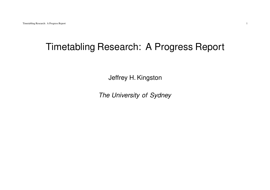# Timetabling Research: A Progress Report

Jeffrey H. Kingston

The University of Sydney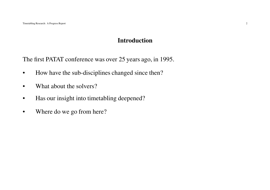#### **Introduction**

The first PATAT conference was over 25 years ago, in 1995.

- •How have the sub-disciplines changed since then?
- •What about the solvers?
- •Has our insight into timetabling deepened?
- •Where do we go from here?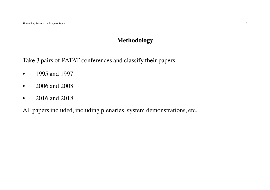## **Methodology**

Take 3 pairs of PATAT conferences and classify their papers:

- •1995 and 1997
- •2006 and 2008
- •2016 and 2018

All papers included, including plenaries, system demonstrations, etc.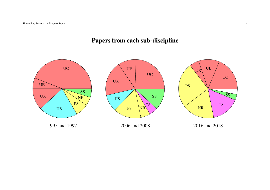# **Papers from each sub-discipline**

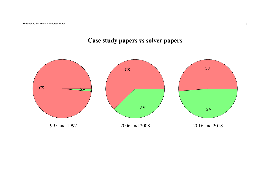# **Case study papers vs solver papers**

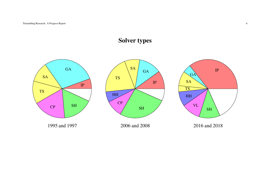# **Solver types**

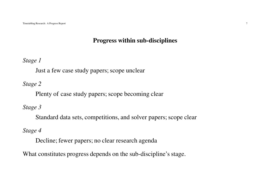#### **Progress within sub-disciplines**

*Stage 1*

Just <sup>a</sup> few case study papers; scope unclear

*Stage 2*

Plenty of case study papers; scope becoming clear

*Stage 3*

Standard data sets, competitions, and solver papers; scope clear

*Stage 4*

Decline; fewer papers; no clear research agenda

What constitutes progress depends on the sub-discipline's stage.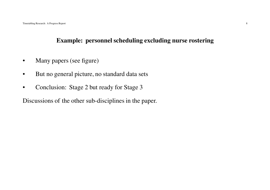### **Example: personnel scheduling excluding nurse rostering**

- •Many papers (see figure)
- •But no general picture, no standard data sets
- •Conclusion: Stage 2 but ready for Stage 3

Discussions of the other sub-disciplines in the paper.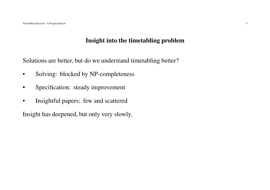## **Insight into the timetabling problem**

Solutions are better, but do we understand timetabling better?

- •Solving: blocked by NP-completeness
- $\bullet$ Specification: steady improvement
- •Insightful papers: few and scattered

Insight has deepened, but only very slowly.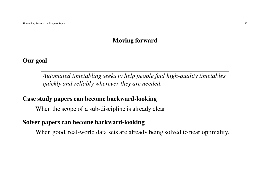## **Moving forward**

## **Our goal**

*Automated timetabling seeks to help people find high-quality timetablesquickly and reliably wherever they are needed.*

## **Case study papers can become backward-looking**

When the scope of <sup>a</sup> sub-discipline is already clear

## **Solver papers can become backward-looking**

When good, real-world data sets are already being solved to near optimality.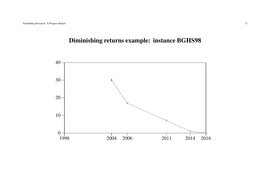## **Diminishing returns example: instance BGHS98**

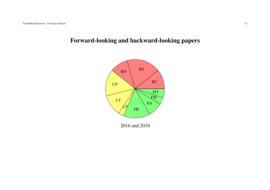# **Forward-looking and backward-looking papers**



2016 and 2018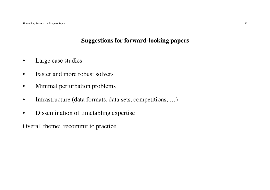## **Suggestions for forward-looking papers**

- •Large case studies
- •Faster and more robust solvers
- •Minimal perturbation problems
- •Infrastructure (data formats, data sets, competitions, …)
- $\bullet$ Dissemination of timetabling expertise

Overall theme: recommit to practice.